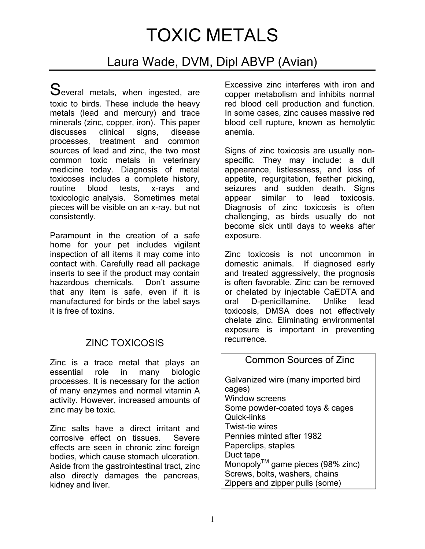# TOXIC METALS

## Laura Wade, DVM, Dipl ABVP (Avian)

Several metals, when ingested, are toxic to birds. These include the heavy metals (lead and mercury) and trace minerals (zinc, copper, iron). This paper discusses clinical signs, disease processes, treatment and common sources of lead and zinc, the two most common toxic metals in veterinary medicine today. Diagnosis of metal toxicoses includes a complete history, routine blood tests, x-rays and toxicologic analysis. Sometimes metal pieces will be visible on an x-ray, but not consistently.

Paramount in the creation of a safe home for your pet includes vigilant inspection of all items it may come into contact with. Carefully read all package inserts to see if the product may contain hazardous chemicals. Don't assume that any item is safe, even if it is manufactured for birds or the label says it is free of toxins.

### ZINC TOXICOSIS

Zinc is a trace metal that plays an essential role in many biologic processes. It is necessary for the action of many enzymes and normal vitamin A activity. However, increased amounts of zinc may be toxic.

Zinc salts have a direct irritant and corrosive effect on tissues. Severe effects are seen in chronic zinc foreign bodies, which cause stomach ulceration. Aside from the gastrointestinal tract, zinc also directly damages the pancreas, kidney and liver.

Excessive zinc interferes with iron and copper metabolism and inhibits normal red blood cell production and function. In some cases, zinc causes massive red blood cell rupture, known as hemolytic anemia.

Signs of zinc toxicosis are usually nonspecific. They may include: a dull appearance, listlessness, and loss of appetite, regurgitation, feather picking, seizures and sudden death. Signs appear similar to lead toxicosis. Diagnosis of zinc toxicosis is often challenging, as birds usually do not become sick until days to weeks after exposure.

Zinc toxicosis is not uncommon in domestic animals. If diagnosed early and treated aggressively, the prognosis is often favorable. Zinc can be removed or chelated by injectable CaEDTA and oral D-penicillamine. Unlike lead toxicosis, DMSA does not effectively chelate zinc. Eliminating environmental exposure is important in preventing recurrence.

#### Common Sources of Zinc

Galvanized wire (many imported bird cages) Window screens Some powder-coated toys & cages Quick-links Twist-tie wires Pennies minted after 1982 Paperclips, staples Duct tape MonopolyTM game pieces (98% zinc) Screws, bolts, washers, chains Zippers and zipper pulls (some)